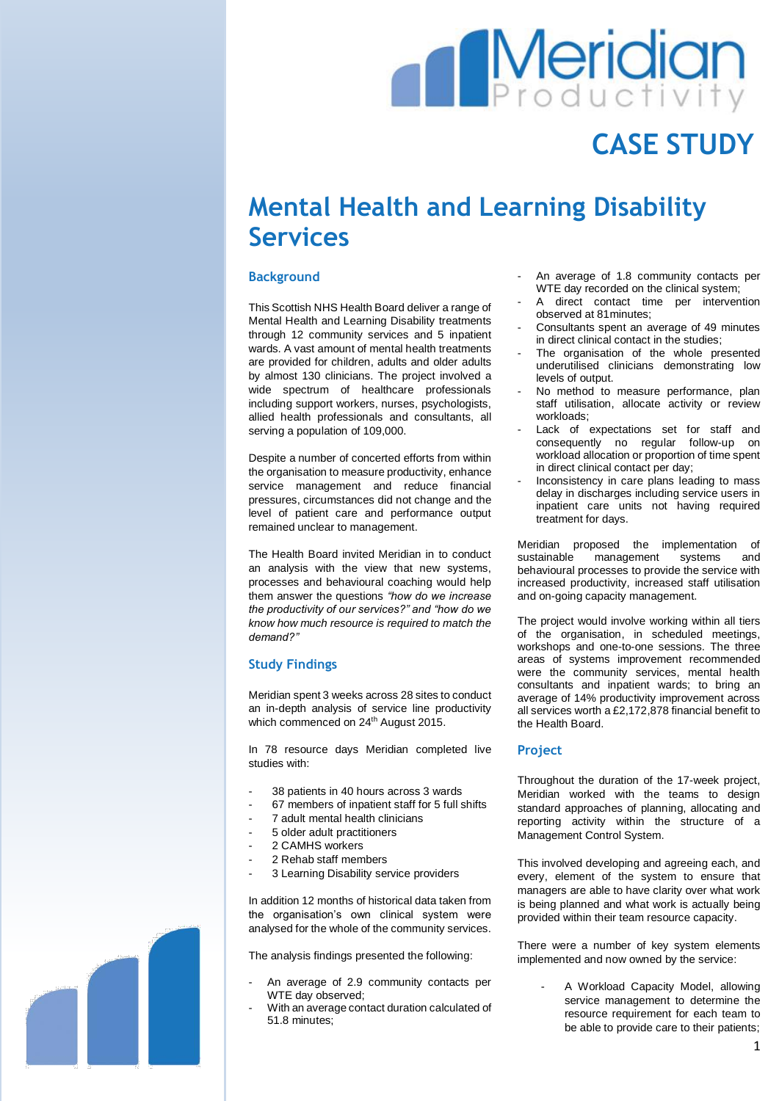# **Meridian**

## **CASE STUDY**

### **Mental Health and Learning Disability Services**

#### **Background**

This Scottish NHS Health Board deliver a range of Mental Health and Learning Disability treatments through 12 community services and 5 inpatient wards. A vast amount of mental health treatments are provided for children, adults and older adults by almost 130 clinicians. The project involved a wide spectrum of healthcare professionals including support workers, nurses, psychologists, allied health professionals and consultants, all serving a population of 109,000.

Despite a number of concerted efforts from within the organisation to measure productivity, enhance service management and reduce financial pressures, circumstances did not change and the level of patient care and performance output remained unclear to management.

The Health Board invited Meridian in to conduct an analysis with the view that new systems, processes and behavioural coaching would help them answer the questions *"how do we increase the productivity of our services?" and "how do we know how much resource is required to match the demand?"* 

#### **Study Findings**

Meridian spent 3 weeks across 28 sites to conduct an in-depth analysis of service line productivity which commenced on 24<sup>th</sup> August 2015.

In 78 resource days Meridian completed live studies with:

- 38 patients in 40 hours across 3 wards
- 67 members of inpatient staff for 5 full shifts
- 7 adult mental health clinicians
- 5 older adult practitioners
- 2 CAMHS workers
- 2 Rehab staff members
- 3 Learning Disability service providers

In addition 12 months of historical data taken from the organisation's own clinical system were analysed for the whole of the community services.

The analysis findings presented the following:

- An average of 2.9 community contacts per WTE day observed;
- With an average contact duration calculated of 51.8 minutes;
- An average of 1.8 community contacts per WTE day recorded on the clinical system;
- A direct contact time per intervention observed at 81minutes;
- Consultants spent an average of 49 minutes in direct clinical contact in the studies;
- The organisation of the whole presented underutilised clinicians demonstrating low levels of output.
- No method to measure performance, plan staff utilisation, allocate activity or review workloads;
- Lack of expectations set for staff and consequently no regular follow-up on workload allocation or proportion of time spent in direct clinical contact per day;
- Inconsistency in care plans leading to mass delay in discharges including service users in inpatient care units not having required treatment for days.

Meridian proposed the implementation of sustainable management systems and behavioural processes to provide the service with increased productivity, increased staff utilisation and on-going capacity management.

The project would involve working within all tiers of the organisation, in scheduled meetings, workshops and one-to-one sessions. The three areas of systems improvement recommended were the community services, mental health consultants and inpatient wards; to bring an average of 14% productivity improvement across all services worth a £2,172,878 financial benefit to the Health Board.

#### **Project**

Throughout the duration of the 17-week project, Meridian worked with the teams to design standard approaches of planning, allocating and reporting activity within the structure of a Management Control System.

This involved developing and agreeing each, and every, element of the system to ensure that managers are able to have clarity over what work is being planned and what work is actually being provided within their team resource capacity.

There were a number of key system elements implemented and now owned by the service:

> A Workload Capacity Model, allowing service management to determine the resource requirement for each team to be able to provide care to their patients;